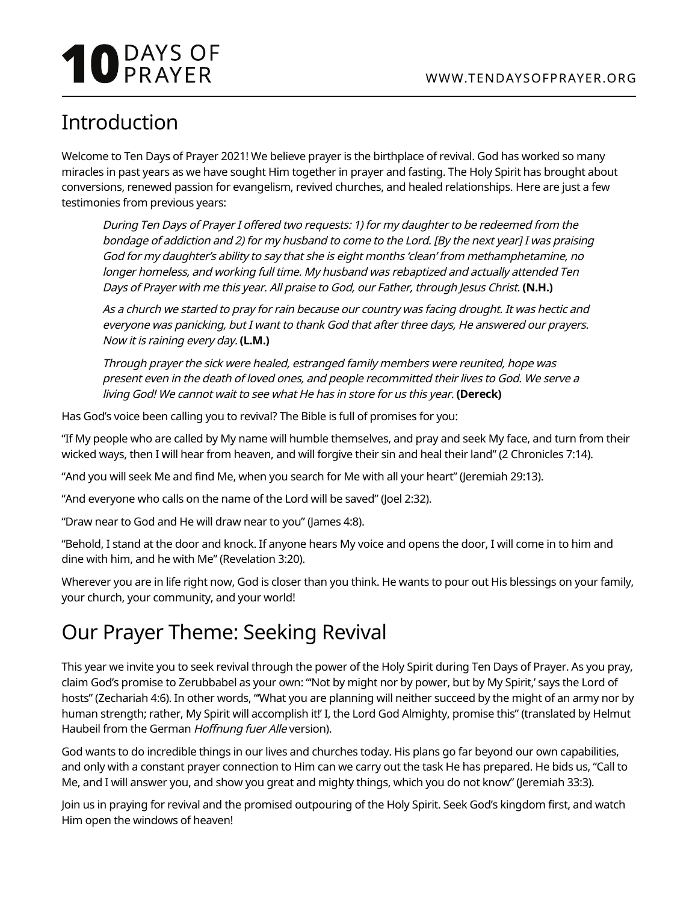# **10** DAYS OF

## Introduction

Welcome to Ten Days of Prayer 2021! We believe prayer is the birthplace of revival. God has worked so many miracles in past years as we have sought Him together in prayer and fasting. The Holy Spirit has brought about conversions, renewed passion for evangelism, revived churches, and healed relationships. Here are just a few testimonies from previous years:

During Ten Days of Prayer I offered two requests: 1) for my daughter to be redeemed from the bondage of addiction and 2) for my husband to come to the Lord. [By the next year] I was praising God for my daughter's ability to say that she is eight months 'clean' from methamphetamine, no longer homeless, and working full time. My husband was rebaptized and actually attended Ten Days of Prayer with me this year. All praise to God, our Father, through Jesus Christ. **(N.H.)**

As a church we started to pray for rain because our country was facing drought. It was hectic and everyone was panicking, but I want to thank God that after three days, He answered our prayers. Now it is raining every day. **(L.M.)**

Through prayer the sick were healed, estranged family members were reunited, hope was present even in the death of loved ones, and people recommitted their lives to God. We serve a living God! We cannot wait to see what He has in store for us this year. **(Dereck)**

Has God's voice been calling you to revival? The Bible is full of promises for you:

"If My people who are called by My name will humble themselves, and pray and seek My face, and turn from their wicked ways, then I will hear from heaven, and will forgive their sin and heal their land" (2 Chronicles 7:14).

"And you will seek Me and find Me, when you search for Me with all your heart" (Jeremiah 29:13).

"And everyone who calls on the name of the Lord will be saved" (Joel 2:32).

"Draw near to God and He will draw near to you" (James 4:8).

"Behold, I stand at the door and knock. If anyone hears My voice and opens the door, I will come in to him and dine with him, and he with Me" (Revelation 3:20).

Wherever you are in life right now, God is closer than you think. He wants to pour out His blessings on your family, your church, your community, and your world!

## Our Prayer Theme: Seeking Revival

This year we invite you to seek revival through the power of the Holy Spirit during Ten Days of Prayer. As you pray, claim God's promise to Zerubbabel as your own: "'Not by might nor by power, but by My Spirit,' says the Lord of hosts" (Zechariah 4:6). In other words, "'What you are planning will neither succeed by the might of an army nor by human strength; rather, My Spirit will accomplish it!' I, the Lord God Almighty, promise this" (translated by Helmut Haubeil from the German Hoffnung fuer Alle version).

God wants to do incredible things in our lives and churches today. His plans go far beyond our own capabilities, and only with a constant prayer connection to Him can we carry out the task He has prepared. He bids us, "Call to Me, and I will answer you, and show you great and mighty things, which you do not know" (Jeremiah 33:3).

Join us in praying for revival and the promised outpouring of the Holy Spirit. Seek God's kingdom first, and watch Him open the windows of heaven!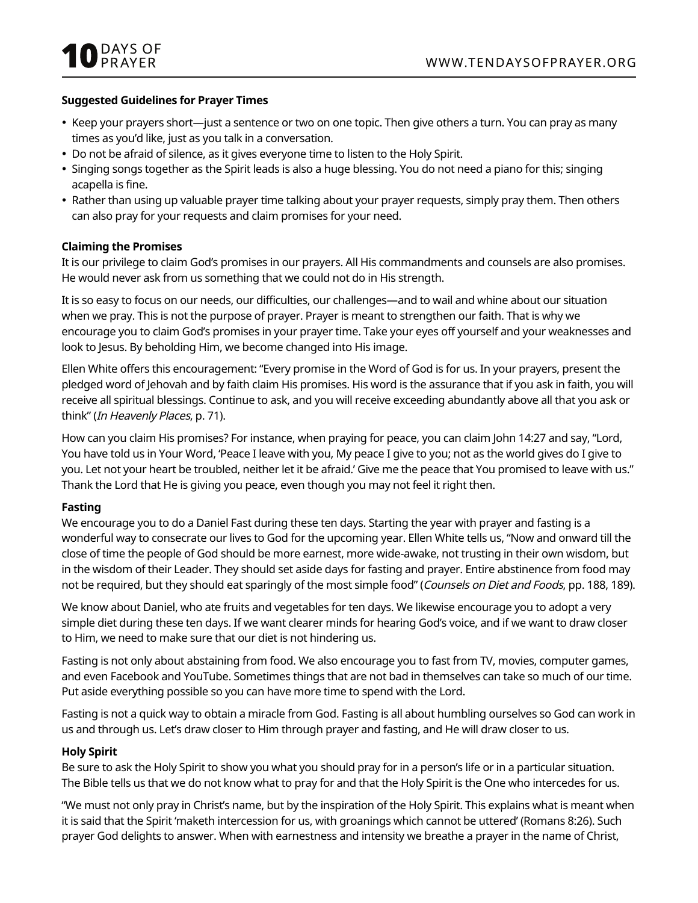#### **Suggested Guidelines for Prayer Times**

- Keep your prayers short—just a sentence or two on one topic. Then give others a turn. You can pray as many times as you'd like, just as you talk in a conversation.
- Do not be afraid of silence, as it gives everyone time to listen to the Holy Spirit.
- Singing songs together as the Spirit leads is also a huge blessing. You do not need a piano for this; singing acapella is fine.
- Rather than using up valuable prayer time talking about your prayer requests, simply pray them. Then others can also pray for your requests and claim promises for your need.

#### **Claiming the Promises**

It is our privilege to claim God's promises in our prayers. All His commandments and counsels are also promises. He would never ask from us something that we could not do in His strength.

It is so easy to focus on our needs, our difficulties, our challenges—and to wail and whine about our situation when we pray. This is not the purpose of prayer. Prayer is meant to strengthen our faith. That is why we encourage you to claim God's promises in your prayer time. Take your eyes off yourself and your weaknesses and look to Jesus. By beholding Him, we become changed into His image.

Ellen White offers this encouragement: "Every promise in the Word of God is for us. In your prayers, present the pledged word of Jehovah and by faith claim His promises. His word is the assurance that if you ask in faith, you will receive all spiritual blessings. Continue to ask, and you will receive exceeding abundantly above all that you ask or think" (In Heavenly Places, p. 71).

How can you claim His promises? For instance, when praying for peace, you can claim John 14:27 and say, "Lord, You have told us in Your Word, 'Peace I leave with you, My peace I give to you; not as the world gives do I give to you. Let not your heart be troubled, neither let it be afraid.' Give me the peace that You promised to leave with us." Thank the Lord that He is giving you peace, even though you may not feel it right then.

#### **Fasting**

We encourage you to do a Daniel Fast during these ten days. Starting the year with prayer and fasting is a wonderful way to consecrate our lives to God for the upcoming year. Ellen White tells us, "Now and onward till the close of time the people of God should be more earnest, more wide-awake, not trusting in their own wisdom, but in the wisdom of their Leader. They should set aside days for fasting and prayer. Entire abstinence from food may not be required, but they should eat sparingly of the most simple food" (Counsels on Diet and Foods, pp. 188, 189).

We know about Daniel, who ate fruits and vegetables for ten days. We likewise encourage you to adopt a very simple diet during these ten days. If we want clearer minds for hearing God's voice, and if we want to draw closer to Him, we need to make sure that our diet is not hindering us.

Fasting is not only about abstaining from food. We also encourage you to fast from TV, movies, computer games, and even Facebook and YouTube. Sometimes things that are not bad in themselves can take so much of our time. Put aside everything possible so you can have more time to spend with the Lord.

Fasting is not a quick way to obtain a miracle from God. Fasting is all about humbling ourselves so God can work in us and through us. Let's draw closer to Him through prayer and fasting, and He will draw closer to us.

#### **Holy Spirit**

Be sure to ask the Holy Spirit to show you what you should pray for in a person's life or in a particular situation. The Bible tells us that we do not know what to pray for and that the Holy Spirit is the One who intercedes for us.

"We must not only pray in Christ's name, but by the inspiration of the Holy Spirit. This explains what is meant when it is said that the Spirit 'maketh intercession for us, with groanings which cannot be uttered' (Romans 8:26). Such prayer God delights to answer. When with earnestness and intensity we breathe a prayer in the name of Christ,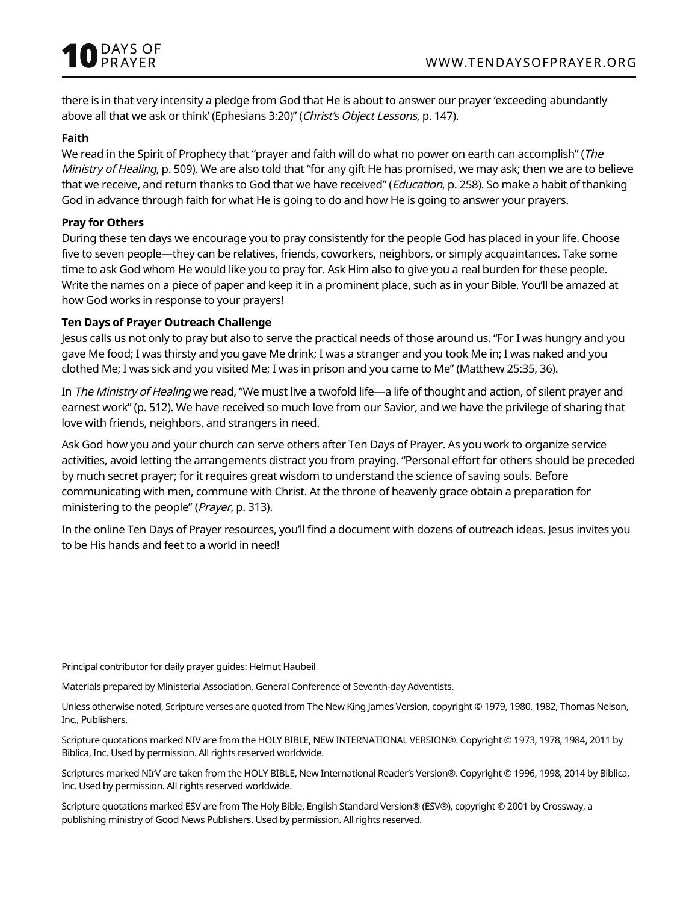

there is in that very intensity a pledge from God that He is about to answer our prayer 'exceeding abundantly above all that we ask or think' (Ephesians 3:20)" (Christ's Object Lessons, p. 147).

#### **Faith**

We read in the Spirit of Prophecy that "prayer and faith will do what no power on earth can accomplish" (The Ministry of Healing, p. 509). We are also told that "for any gift He has promised, we may ask; then we are to believe that we receive, and return thanks to God that we have received" (Education, p. 258). So make a habit of thanking God in advance through faith for what He is going to do and how He is going to answer your prayers.

#### **Pray for Others**

During these ten days we encourage you to pray consistently for the people God has placed in your life. Choose five to seven people—they can be relatives, friends, coworkers, neighbors, or simply acquaintances. Take some time to ask God whom He would like you to pray for. Ask Him also to give you a real burden for these people. Write the names on a piece of paper and keep it in a prominent place, such as in your Bible. You'll be amazed at how God works in response to your prayers!

#### **Ten Days of Prayer Outreach Challenge**

Jesus calls us not only to pray but also to serve the practical needs of those around us. "For I was hungry and you gave Me food; I was thirsty and you gave Me drink; I was a stranger and you took Me in; I was naked and you clothed Me; I was sick and you visited Me; I was in prison and you came to Me" (Matthew 25:35, 36).

In The Ministry of Healing we read, "We must live a twofold life—a life of thought and action, of silent prayer and earnest work" (p. 512). We have received so much love from our Savior, and we have the privilege of sharing that love with friends, neighbors, and strangers in need.

Ask God how you and your church can serve others after Ten Days of Prayer. As you work to organize service activities, avoid letting the arrangements distract you from praying. "Personal effort for others should be preceded by much secret prayer; for it requires great wisdom to understand the science of saving souls. Before communicating with men, commune with Christ. At the throne of heavenly grace obtain a preparation for ministering to the people" (Prayer, p. 313).

In the online Ten Days of Prayer resources, you'll find a document with dozens of outreach ideas. Jesus invites you to be His hands and feet to a world in need!

Principal contributor for daily prayer guides: Helmut Haubeil

Materials prepared by Ministerial Association, General Conference of Seventh-day Adventists.

Unless otherwise noted, Scripture verses are quoted from The New King James Version, copyright © 1979, 1980, 1982, Thomas Nelson, Inc., Publishers.

Scripture quotations marked NIV are from the HOLY BIBLE, NEW INTERNATIONAL VERSION®. Copyright © 1973, 1978, 1984, 2011 by Biblica, Inc. Used by permission. All rights reserved worldwide.

Scriptures marked NIrV are taken from the HOLY BIBLE, New International Reader's Version®. Copyright © 1996, 1998, 2014 by Biblica, Inc. Used by permission. All rights reserved worldwide.

Scripture quotations marked ESV are from The Holy Bible, English Standard Version® (ESV®), copyright © 2001 by Crossway, a publishing ministry of Good News Publishers. Used by permission. All rights reserved.